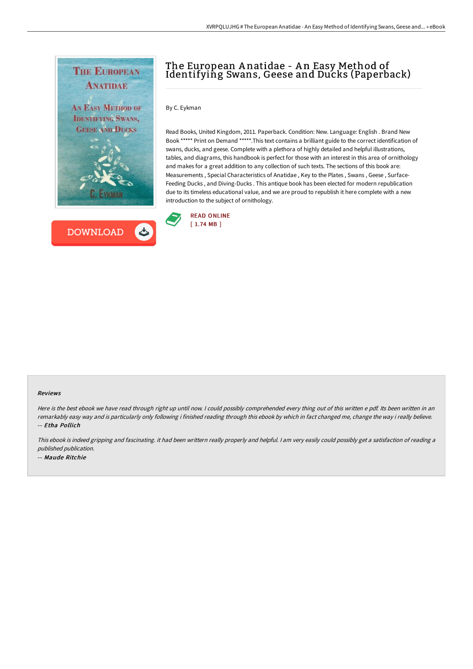



# The European A natidae - A n Easy Method of Identifying Swans, Geese and Ducks (Paperback)

By C. Eykman

Read Books, United Kingdom, 2011. Paperback. Condition: New. Language: English . Brand New Book \*\*\*\*\* Print on Demand \*\*\*\*\*.This text contains a brilliant guide to the correct identification of swans, ducks, and geese. Complete with a plethora of highly detailed and helpful illustrations, tables, and diagrams, this handbook is perfect for those with an interest in this area of ornithology and makes for a great addition to any collection of such texts. The sections of this book are: Measurements , Special Characteristics of Anatidae , Key to the Plates , Swans , Geese , Surface-Feeding Ducks , and Diving-Ducks . This antique book has been elected for modern republication due to its timeless educational value, and we are proud to republish it here complete with a new introduction to the subject of ornithology.



#### Reviews

Here is the best ebook we have read through right up until now. I could possibly comprehended every thing out of this written e pdf. Its been written in an remarkably easy way and is particularly only following i finished reading through this ebook by which in fact changed me, change the way i really believe. -- Etha Pollich

This ebook is indeed gripping and fascinating. it had been writtern really properly and helpful. <sup>I</sup> am very easily could possibly get <sup>a</sup> satisfaction of reading <sup>a</sup> published publication. -- Maude Ritchie